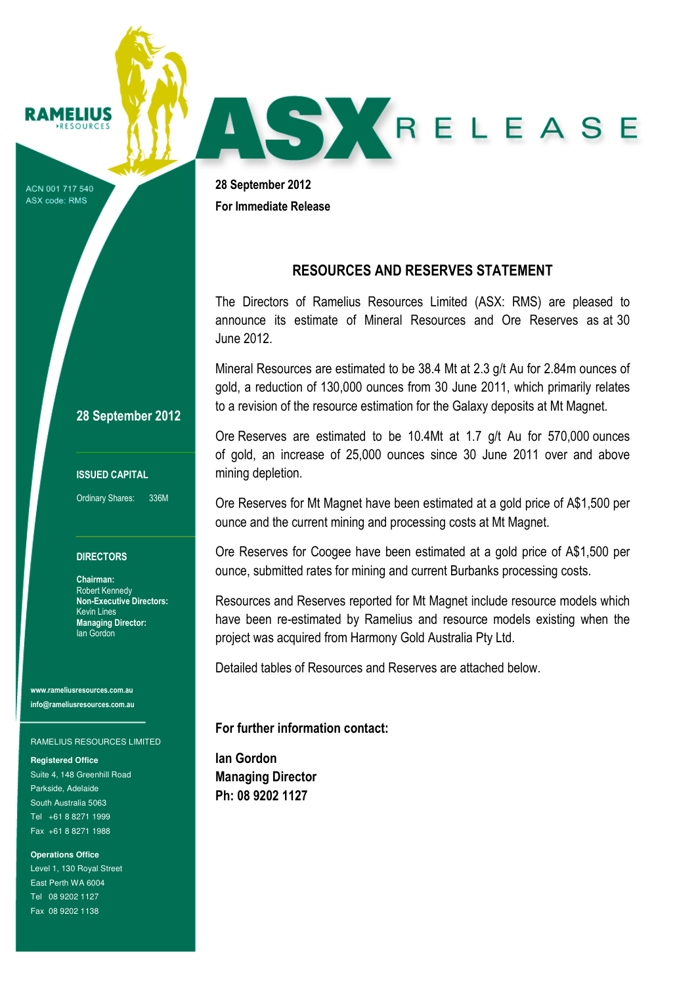# **RAMELIUS**

ACN 001 717 540 ASX code: RMS

28 September 2012 For Immediate Release

### RESOURCES AND RESERVES STATEMENT

AS X RELEASE

The Directors of Ramelius Resources Limited (ASX: RMS) are pleased to announce its estimate of Mineral Resources and Ore Reserves as at 30 June 2012.

Mineral Resources are estimated to be 38.4 Mt at 2.3 g/t Au for 2.84m ounces of gold, a reduction of 130,000 ounces from 30 June 2011, which primarily relates to a revision of the resource estimation for the Galaxy deposits at Mt Magnet.

Ore Reserves are estimated to be 10.4Mt at 1.7 g/t Au for 570,000 ounces of gold, an increase of 25,000 ounces since 30 June 2011 over and above mining depletion.

Ore Reserves for Mt Magnet have been estimated at a gold price of A\$1,500 per ounce and the current mining and processing costs at Mt Magnet.

Ore Reserves for Coogee have been estimated at a gold price of A\$1,500 per ounce, submitted rates for mining and current Burbanks processing costs.

Resources and Reserves reported for Mt Magnet include resource models which have been re-estimated by Ramelius and resource models existing when the project was acquired from Harmony Gold Australia Pty Ltd.

Detailed tables of Resources and Reserves are attached below.

### For further information contact:

Ian Gordon Managing Director Ph: 08 9202 1127

### 28 September 2012

#### ISSUED CAPITAL

Ordinary Shares: 336M

#### **DIRECTORS**

Chairman: Robert Kennedy Non-Executive Directors: Kevin Lines Managing Director: Ian Gordon

www.rameliusresources.com.au info@rameliusresources.com.au

#### RAMELIUS RESOURCES LIMITED

**Registered Office**  Suite 4, 148 Greenhill Road Parkside, Adelaide South Australia 5063 Tel +61 8 8271 1999 Fax +61 8 8271 1988

**Operations Office**  Level 1, 130 Royal Street East Perth WA 6004 Tel 08 9202 1127 Fax 08 9202 1138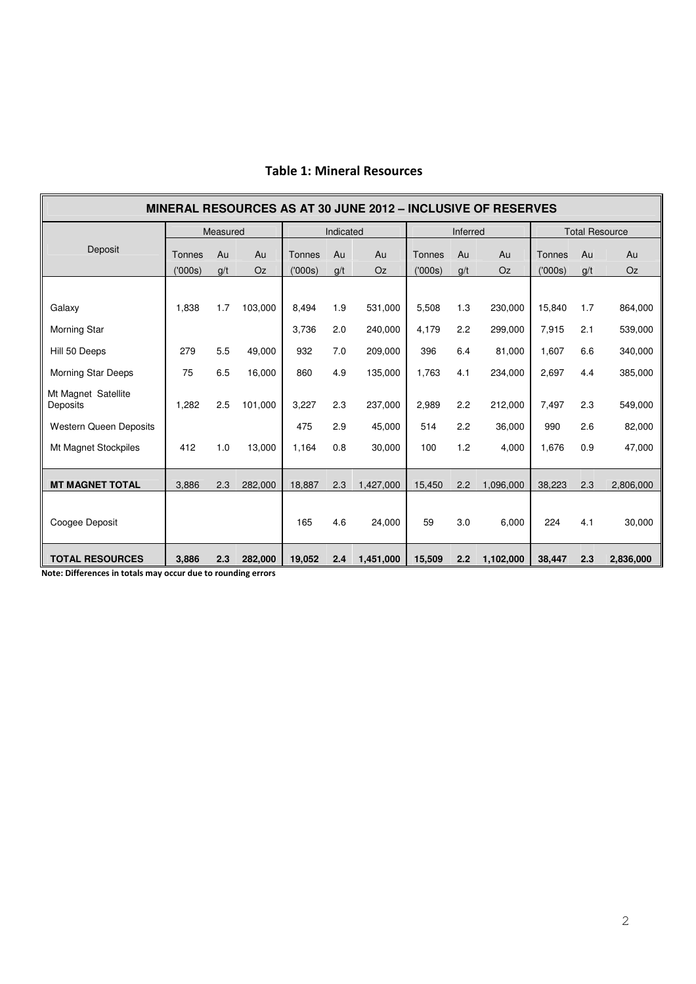| <b>MINERAL RESOURCES AS AT 30 JUNE 2012 - INCLUSIVE OF RESERVES</b> |               |     |           |               |     |           |          |     |           |                       |     |           |
|---------------------------------------------------------------------|---------------|-----|-----------|---------------|-----|-----------|----------|-----|-----------|-----------------------|-----|-----------|
|                                                                     | Measured      |     |           | Indicated     |     |           | Inferred |     |           | <b>Total Resource</b> |     |           |
| Deposit                                                             | <b>Tonnes</b> | Au  | Au        | <b>Tonnes</b> | Au  | Au        | Tonnes   | Au  | Au        | Tonnes                | Au  | Au        |
|                                                                     | (′000s)       | g/t | <b>Oz</b> | (000s)        | g/t | <b>Oz</b> | (000s)   | g/t | <b>Oz</b> | (000s)                | g/t | Oz        |
|                                                                     |               |     |           |               |     |           |          |     |           |                       |     |           |
| Galaxy                                                              | 1,838         | 1.7 | 103,000   | 8,494         | 1.9 | 531,000   | 5,508    | 1.3 | 230,000   | 15,840                | 1.7 | 864,000   |
| Morning Star                                                        |               |     |           | 3,736         | 2.0 | 240,000   | 4,179    | 2.2 | 299,000   | 7,915                 | 2.1 | 539,000   |
| Hill 50 Deeps                                                       | 279           | 5.5 | 49,000    | 932           | 7.0 | 209,000   | 396      | 6.4 | 81,000    | 1,607                 | 6.6 | 340,000   |
| <b>Morning Star Deeps</b>                                           | 75            | 6.5 | 16,000    | 860           | 4.9 | 135,000   | 1.763    | 4.1 | 234,000   | 2,697                 | 4.4 | 385,000   |
| Mt Magnet Satellite<br>Deposits                                     | 1,282         | 2.5 | 101.000   | 3,227         | 2.3 | 237,000   | 2,989    | 2.2 | 212,000   | 7,497                 | 2.3 | 549,000   |
| <b>Western Queen Deposits</b>                                       |               |     |           | 475           | 2.9 | 45,000    | 514      | 2.2 | 36,000    | 990                   | 2.6 | 82,000    |
| Mt Magnet Stockpiles                                                | 412           | 1.0 | 13,000    | 1,164         | 0.8 | 30,000    | 100      | 1.2 | 4,000     | 1,676                 | 0.9 | 47,000    |
|                                                                     |               |     |           |               |     |           |          |     |           |                       |     |           |
| <b>MT MAGNET TOTAL</b>                                              | 3,886         | 2.3 | 282,000   | 18,887        | 2.3 | 1,427,000 | 15,450   | 2.2 | 1,096,000 | 38,223                | 2.3 | 2,806,000 |
| Coogee Deposit                                                      |               |     |           | 165           | 4.6 | 24,000    | 59       | 3.0 | 6,000     | 224                   | 4.1 | 30,000    |
| <b>TOTAL RESOURCES</b>                                              | 3,886         | 2.3 | 282,000   | 19,052        | 2.4 | 1,451,000 | 15,509   | 2.2 | 1,102,000 | 38,447                | 2.3 | 2,836,000 |

## Table 1: Mineral Resources

Note: Differences in totals may occur due to rounding errors

ř.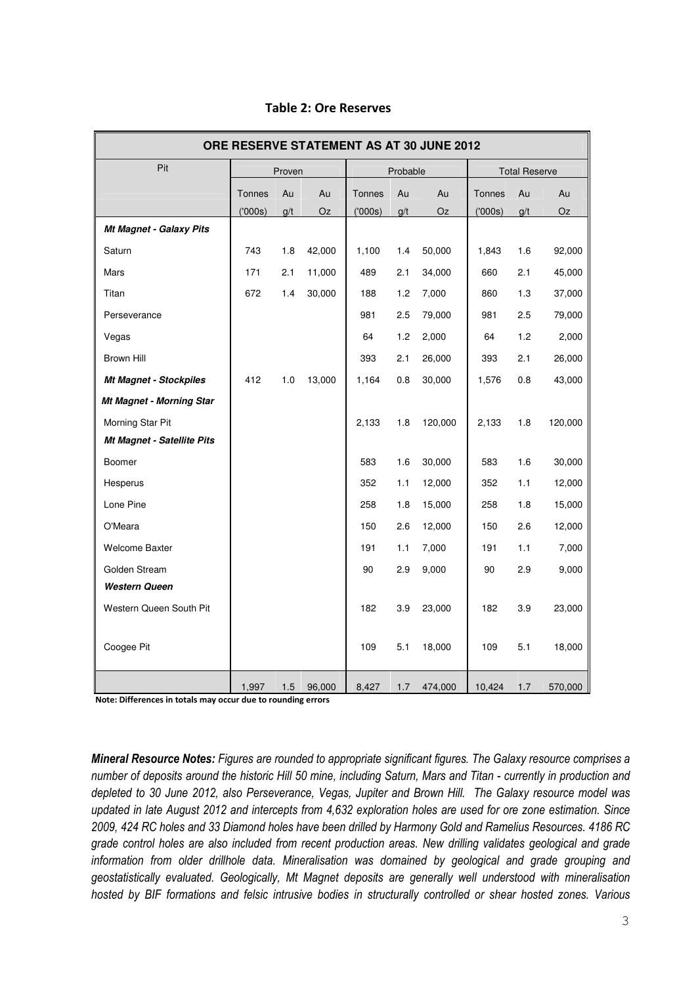| ORE RESERVE STATEMENT AS AT 30 JUNE 2012 |        |        |        |               |          |           |        |                      |         |  |  |
|------------------------------------------|--------|--------|--------|---------------|----------|-----------|--------|----------------------|---------|--|--|
| Pit                                      |        | Proven |        |               | Probable |           |        | <b>Total Reserve</b> |         |  |  |
|                                          | Tonnes | Au     | Au     | <b>Tonnes</b> | Au       | Au        | Tonnes | Au                   | Au      |  |  |
|                                          | (000s) | g/t    | Oz     | (000s)        | g/t      | <b>Oz</b> | (000s) | g/t                  | Oz      |  |  |
| Mt Magnet - Galaxy Pits                  |        |        |        |               |          |           |        |                      |         |  |  |
| Saturn                                   | 743    | 1.8    | 42,000 | 1,100         | 1.4      | 50,000    | 1,843  | 1.6                  | 92,000  |  |  |
| Mars                                     | 171    | 2.1    | 11,000 | 489           | 2.1      | 34,000    | 660    | 2.1                  | 45,000  |  |  |
| Titan                                    | 672    | 1.4    | 30,000 | 188           | 1.2      | 7,000     | 860    | 1.3                  | 37,000  |  |  |
| Perseverance                             |        |        |        | 981           | 2.5      | 79,000    | 981    | 2.5                  | 79,000  |  |  |
| Vegas                                    |        |        |        | 64            | 1.2      | 2,000     | 64     | 1.2                  | 2,000   |  |  |
| Brown Hill                               |        |        |        | 393           | 2.1      | 26,000    | 393    | 2.1                  | 26,000  |  |  |
| <b>Mt Magnet - Stockpiles</b>            | 412    | 1.0    | 13,000 | 1,164         | 0.8      | 30,000    | 1,576  | 0.8                  | 43,000  |  |  |
| <b>Mt Magnet - Morning Star</b>          |        |        |        |               |          |           |        |                      |         |  |  |
| Morning Star Pit                         |        |        |        | 2,133         | 1.8      | 120,000   | 2,133  | 1.8                  | 120,000 |  |  |
| Mt Magnet - Satellite Pits               |        |        |        |               |          |           |        |                      |         |  |  |
| Boomer                                   |        |        |        | 583           | 1.6      | 30,000    | 583    | 1.6                  | 30,000  |  |  |
| Hesperus                                 |        |        |        | 352           | 1.1      | 12,000    | 352    | 1.1                  | 12,000  |  |  |
| Lone Pine                                |        |        |        | 258           | 1.8      | 15,000    | 258    | 1.8                  | 15,000  |  |  |
| O'Meara                                  |        |        |        | 150           | 2.6      | 12,000    | 150    | 2.6                  | 12,000  |  |  |
| <b>Welcome Baxter</b>                    |        |        |        | 191           | 1.1      | 7,000     | 191    | 1.1                  | 7,000   |  |  |
| Golden Stream                            |        |        |        | 90            | 2.9      | 9,000     | 90     | 2.9                  | 9,000   |  |  |
| <b>Western Queen</b>                     |        |        |        |               |          |           |        |                      |         |  |  |
| Western Queen South Pit                  |        |        |        | 182           | 3.9      | 23,000    | 182    | 3.9                  | 23,000  |  |  |
|                                          |        |        |        |               |          |           |        |                      |         |  |  |
| Coogee Pit                               |        |        |        | 109           | 5.1      | 18,000    | 109    | 5.1                  | 18,000  |  |  |
|                                          | 1,997  | 1.5    | 96,000 | 8,427         | 1.7      | 474,000   | 10,424 | 1.7                  | 570,000 |  |  |

### Table 2: Ore Reserves

Note: Differences in totals may occur due to rounding errors

Mineral Resource Notes: Figures are rounded to appropriate significant figures. The Galaxy resource comprises a number of deposits around the historic Hill 50 mine, including Saturn, Mars and Titan - currently in production and depleted to 30 June 2012, also Perseverance, Vegas, Jupiter and Brown Hill. The Galaxy resource model was updated in late August 2012 and intercepts from 4,632 exploration holes are used for ore zone estimation. Since 2009, 424 RC holes and 33 Diamond holes have been drilled by Harmony Gold and Ramelius Resources. 4186 RC grade control holes are also included from recent production areas. New drilling validates geological and grade information from older drillhole data. Mineralisation was domained by geological and grade grouping and geostatistically evaluated. Geologically, Mt Magnet deposits are generally well understood with mineralisation hosted by BIF formations and felsic intrusive bodies in structurally controlled or shear hosted zones. Various